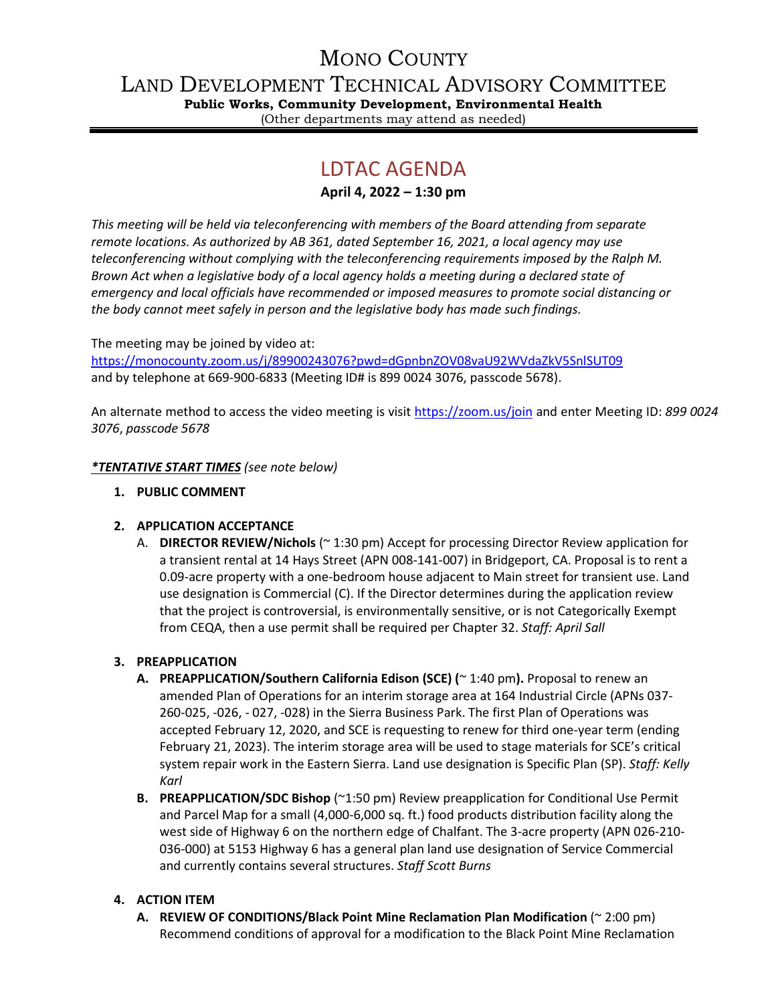# MONO COUNTY

LAND DEVELOPMENT TECHNICAL ADVISORY COMMITTEE

**Public Works, Community Development, Environmental Health** (Other departments may attend as needed)

# LDTAC AGENDA

**April 4, 2022 – 1:30 pm**

*This meeting will be held via teleconferencing with members of the Board attending from separate remote locations. As authorized by AB 361, dated September 16, 2021, a local agency may use teleconferencing without complying with the teleconferencing requirements imposed by the Ralph M. Brown Act when a legislative body of a local agency holds a meeting during a declared state of emergency and local officials have recommended or imposed measures to promote social distancing or the body cannot meet safely in person and the legislative body has made such findings.*

The meeting may be joined by video at: <https://monocounty.zoom.us/j/89900243076?pwd=dGpnbnZOV08vaU92WVdaZkV5SnlSUT09> and by telephone at 669-900-6833 (Meeting ID# is 899 0024 3076, passcode 5678).

An alternate method to access the video meeting is visit <https://zoom.us/join> and enter Meeting ID: *899 0024 3076*, *passcode 5678*

## *\*TENTATIVE START TIMES (see note below)*

**1. PUBLIC COMMENT**

## **2. APPLICATION ACCEPTANCE**

A. **DIRECTOR REVIEW/Nichols** (~ 1:30 pm) Accept for processing Director Review application for a transient rental at 14 Hays Street (APN 008-141-007) in Bridgeport, CA. Proposal is to rent a 0.09-acre property with a one-bedroom house adjacent to Main street for transient use. Land use designation is Commercial (C). If the Director determines during the application review that the project is controversial, is environmentally sensitive, or is not Categorically Exempt from CEQA, then a use permit shall be required per Chapter 32. *Staff: April Sall*

## **3. PREAPPLICATION**

- **A. PREAPPLICATION/Southern California Edison (SCE) (**~ 1:40 pm**).** Proposal to renew an amended Plan of Operations for an interim storage area at 164 Industrial Circle (APNs 037- 260-025, -026, - 027, -028) in the Sierra Business Park. The first Plan of Operations was accepted February 12, 2020, and SCE is requesting to renew for third one-year term (ending February 21, 2023). The interim storage area will be used to stage materials for SCE's critical system repair work in the Eastern Sierra. Land use designation is Specific Plan (SP). *Staff: Kelly Karl*
- **B. PREAPPLICATION/SDC Bishop** (~1:50 pm) Review preapplication for Conditional Use Permit and Parcel Map for a small (4,000-6,000 sq. ft.) food products distribution facility along the west side of Highway 6 on the northern edge of Chalfant. The 3-acre property (APN 026-210- 036-000) at 5153 Highway 6 has a general plan land use designation of Service Commercial and currently contains several structures. *Staff Scott Burns*

## **4. ACTION ITEM**

**A. REVIEW OF CONDITIONS/Black Point Mine Reclamation Plan Modification** (~ 2:00 pm) Recommend conditions of approval for a modification to the Black Point Mine Reclamation